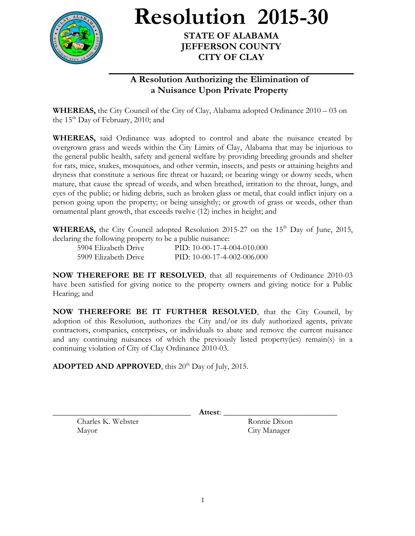

**Resolution 2015-30**

## **STATE OF ALABAMA JEFFERSON COUNTY CITY OF CLAY**

## **A Resolution Authorizing the Elimination of a Nuisance Upon Private Property**

**WHEREAS,** the City Council of the City of Clay, Alabama adopted Ordinance 2010 – 03 on the 15<sup>th</sup> Day of February, 2010; and

**WHEREAS,** said Ordinance was adopted to control and abate the nuisance created by overgrown grass and weeds within the City Limits of Clay, Alabama that may be injurious to the general public health, safety and general welfare by providing breeding grounds and shelter for rats, mice, snakes, mosquitoes, and other vermin, insects, and pests or attaining heights and dryness that constitute a serious fire threat or hazard; or bearing wingy or downy seeds, when mature, that cause the spread of weeds, and when breathed, irritation to the throat, lungs, and eyes of the public; or hiding debris, such as broken glass or metal, that could inflict injury on a person going upon the property; or being unsightly; or growth of grass or weeds, other than ornamental plant growth, that exceeds twelve (12) inches in height; and

**WHEREAS,** the City Council adopted Resolution 2015-27 on the  $15<sup>th</sup>$  Day of June, 2015, declaring the following property to be a public nuisance:

| 5904 Elizabeth Drive | PID: 10-00-17-4-004-010.000 |
|----------------------|-----------------------------|
| 5909 Elizabeth Drive | PID: 10-00-17-4-002-006.000 |

**NOW THEREFORE BE IT RESOLVED**, that all requirements of Ordinance 2010-03 have been satisfied for giving notice to the property owners and giving notice for a Public Hearing; and

**NOW THEREFORE BE IT FURTHER RESOLVED**, that the City Council, by adoption of this Resolution, authorizes the City and/or its duly authorized agents, private contractors, companies, enterprises, or individuals to abate and remove the current nuisance and any continuing nuisances of which the previously listed property(ies) remain(s) in a continuing violation of City of Clay Ordinance 2010-03.

**ADOPTED AND APPROVED**, this 20<sup>th</sup> Day of July, 2015.

Charles K. Webster Ronnie Dixon Mayor City Manager

\_\_\_\_\_\_\_\_\_\_\_\_\_\_\_\_\_\_\_\_\_\_\_\_\_\_\_\_\_\_\_\_\_\_ **Attest**: \_\_\_\_\_\_\_\_\_\_\_\_\_\_\_\_\_\_\_\_\_\_\_\_\_\_\_\_